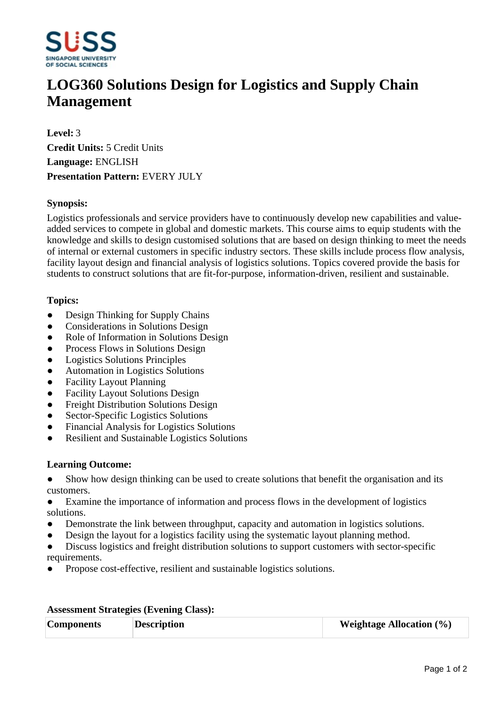

# **LOG360 Solutions Design for Logistics and Supply Chain Management**

**Level:** 3 **Credit Units:** 5 Credit Units **Language:** ENGLISH **Presentation Pattern:** EVERY JULY

## **Synopsis:**

Logistics professionals and service providers have to continuously develop new capabilities and valueadded services to compete in global and domestic markets. This course aims to equip students with the knowledge and skills to design customised solutions that are based on design thinking to meet the needs of internal or external customers in specific industry sectors. These skills include process flow analysis, facility layout design and financial analysis of logistics solutions. Topics covered provide the basis for students to construct solutions that are fit-for-purpose, information-driven, resilient and sustainable.

## **Topics:**

- Design Thinking for Supply Chains
- Considerations in Solutions Design
- Role of Information in Solutions Design
- Process Flows in Solutions Design
- ƔLogistics Solutions Principles
- ƔAutomation in Logistics Solutions
- Facility Layout Planning
- ƔFacility Layout Solutions Design
- Freight Distribution Solutions Design
- Sector-Specific Logistics Solutions
- ƔFinancial Analysis for Logistics Solutions
- ƔResilient and Sustainable Logistics Solutions

#### **Learning Outcome:**

- Show how design thinking can be used to create solutions that benefit the organisation and its customers.
- Examine the importance of information and process flows in the development of logistics solutions.
- Demonstrate the link between throughput, capacity and automation in logistics solutions.
- Design the layout for a logistics facility using the systematic layout planning method.
- Discuss logistics and freight distribution solutions to support customers with sector-specific requirements.
- ƔPropose cost-effective, resilient and sustainable logistics solutions.

#### **Assessment Strategies (Evening Class):**

| <b>Components</b> | <b>Description</b> | <b>Weightage Allocation (%)</b> |
|-------------------|--------------------|---------------------------------|
|                   |                    |                                 |